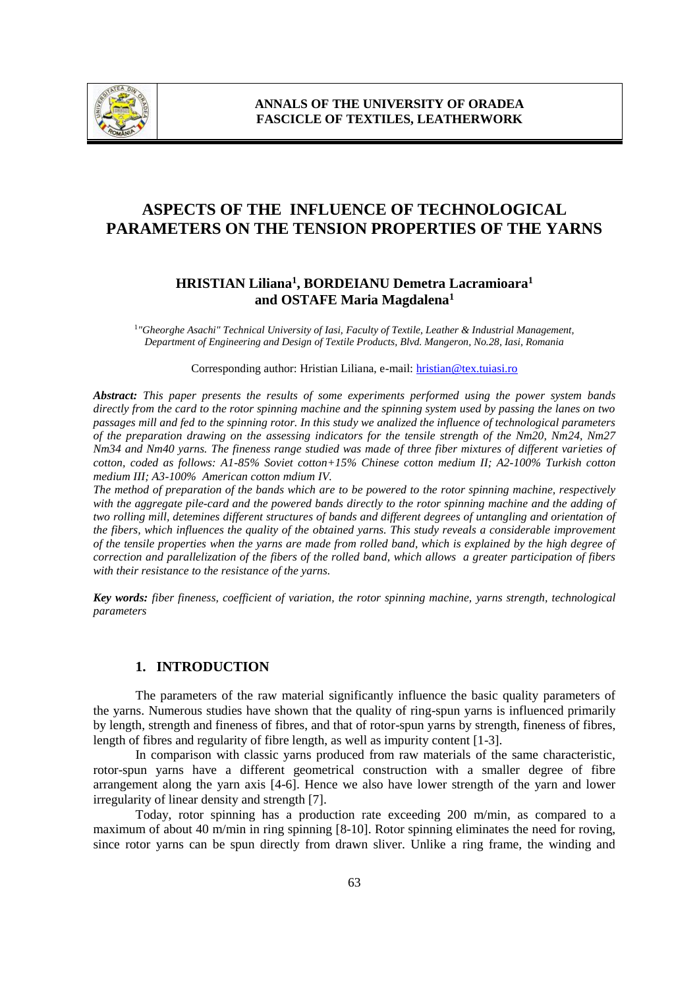

# **ASPECTS OF THE INFLUENCE OF TECHNOLOGICAL PARAMETERS ON THE TENSION PROPERTIES OF THE YARNS**

## **HRISTIAN Liliana<sup>1</sup> , BORDEIANU Demetra Lacramioara<sup>1</sup> and OSTAFE Maria Magdalena<sup>1</sup>**

1 *"Gheorghe Asachi" Technical University of Iasi, Faculty of Textile, Leather & Industrial Management, Department of Engineering and Design of Textile Products, Blvd. Mangeron, No.28, Iasi, Romania*

Corresponding author: Hristian Liliana, e-mail[: hristian@tex.tuiasi.ro](mailto:hristian@tex.tuiasi.ro)

*Abstract: This paper presents the results of some experiments performed using the power system bands directly from the card to the rotor spinning machine and the spinning system used by passing the lanes on two passages mill and fed to the spinning rotor. In this study we analized the influence of technological parameters of the preparation drawing on the assessing indicators for the tensile strength of the Nm20, Nm24, Nm27 Nm34 and Nm40 yarns. The fineness range studied was made of three fiber mixtures of different varieties of cotton, coded as follows: A1-85% Soviet cotton+15% Chinese cotton medium II; A2-100% Turkish cotton medium III; A3-100% American cotton mdium IV.*

*The method of preparation of the bands which are to be powered to the rotor spinning machine, respectively with the aggregate pile-card and the powered bands directly to the rotor spinning machine and the adding of two rolling mill, detemines different structures of bands and different degrees of untangling and orientation of the fibers, which influences the quality of the obtained yarns. This study reveals a considerable improvement of the tensile properties when the yarns are made from rolled band, which is explained by the high degree of correction and parallelization of the fibers of the rolled band, which allows a greater participation of fibers with their resistance to the resistance of the yarns.*

*Key words: fiber fineness, coefficient of variation, the rotor spinning machine, yarns strength, technological parameters*

## **1. INTRODUCTION**

The parameters of the raw material significantly influence the basic quality parameters of the yarns. Numerous studies have shown that the quality of ring-spun yarns is influenced primarily by length, strength and fineness of fibres, and that of rotor-spun yarns by strength, fineness of fibres, length of fibres and regularity of fibre length, as well as impurity content [1-3].

In comparison with classic yarns produced from raw materials of the same characteristic, rotor-spun yarns have a different geometrical construction with a smaller degree of fibre arrangement along the yarn axis [4-6]. Hence we also have lower strength of the yarn and lower irregularity of linear density and strength [7].

Today, rotor spinning has a production rate exceeding 200 m/min, as compared to a maximum of about 40 m/min in ring spinning [8-10]. Rotor spinning eliminates the need for roving, since rotor yarns can be spun directly from drawn sliver. Unlike a ring frame, the winding and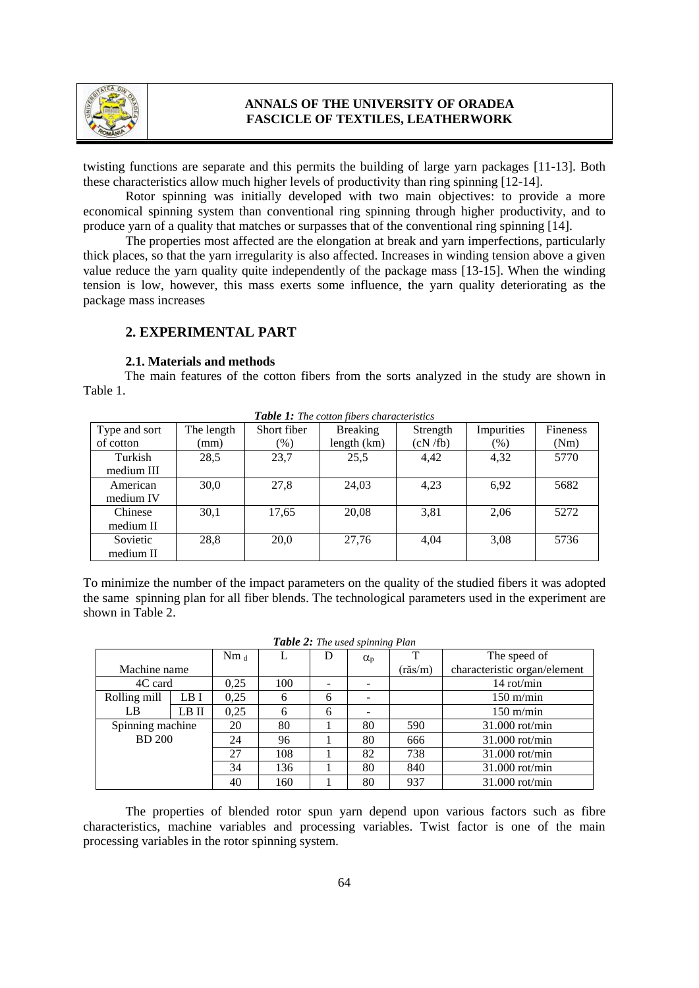

twisting functions are separate and this permits the building of large yarn packages [11-13]. Both these characteristics allow much higher levels of productivity than ring spinning [12-14].

Rotor spinning was initially developed with two main objectives: to provide a more economical spinning system than conventional ring spinning through higher productivity, and to produce yarn of a quality that matches or surpasses that of the conventional ring spinning [14].

The properties most affected are the elongation at break and yarn imperfections, particularly thick places, so that the yarn irregularity is also affected. Increases in winding tension above a given value reduce the yarn quality quite independently of the package mass [13-15]. When the winding tension is low, however, this mass exerts some influence, the yarn quality deteriorating as the package mass increases

## **2. EXPERIMENTAL PART**

#### **2.1. Materials and methods**

The main features of the cotton fibers from the sorts analyzed in the study are shown in Table 1.

| <b>Tuble 1.</b> The conon notes characteristics |            |             |                 |          |            |                 |  |
|-------------------------------------------------|------------|-------------|-----------------|----------|------------|-----------------|--|
| Type and sort                                   | The length | Short fiber | <b>Breaking</b> | Strength | Impurities | <b>Fineness</b> |  |
| of cotton                                       | (mm)       | $(\%)$      | length (km)     | (cN/fb)  | $(\%)$     | (Nm)            |  |
| Turkish                                         | 28,5       | 23,7        | 25,5            | 4,42     | 4,32       | 5770            |  |
| medium III                                      |            |             |                 |          |            |                 |  |
| American                                        | 30,0       | 27,8        | 24,03           | 4,23     | 6,92       | 5682            |  |
| medium IV                                       |            |             |                 |          |            |                 |  |
| Chinese                                         | 30,1       | 17,65       | 20,08           | 3,81     | 2,06       | 5272            |  |
| medium II                                       |            |             |                 |          |            |                 |  |
| Sovietic                                        | 28,8       | 20,0        | 27,76           | 4,04     | 3,08       | 5736            |  |
| medium II                                       |            |             |                 |          |            |                 |  |

*Table 1: The cotton fibers characteristics*

To minimize the number of the impact parameters on the quality of the studied fibers it was adopted the same spinning plan for all fiber blends. The technological parameters used in the experiment are shown in Table 2.

| Table 2: The used spinning Plan |  |  |  |  |
|---------------------------------|--|--|--|--|
|---------------------------------|--|--|--|--|

|                  |       | $Nm_{d}$ |     | D | $\alpha_{p}$ | T       | The speed of                 |
|------------------|-------|----------|-----|---|--------------|---------|------------------------------|
| Machine name     |       |          |     |   |              | (răs/m) | characteristic organ/element |
| 4C card          |       | 0.25     | 100 |   |              |         | 14 rot/min                   |
| Rolling mill     | LB I  | 0,25     | 6   | 6 |              |         | $150 \text{ m/min}$          |
| LB               | LB II | 0.25     | 6   | 6 |              |         | $150$ m/min                  |
| Spinning machine |       | 20       | 80  |   | 80           | 590     | $31.000$ rot/min             |
| <b>BD</b> 200    |       | 24       | 96  |   | 80           | 666     | $31.000$ rot/min             |
|                  |       | 27       | 108 |   | 82           | 738     | 31.000 rot/min               |
|                  |       | 34       | 136 |   | 80           | 840     | $31.000$ rot/min             |
|                  |       | 40       | 160 |   | 80           | 937     | $31.000$ rot/min             |

The properties of blended rotor spun yarn depend upon various factors such as fibre characteristics, machine variables and processing variables. Twist factor is one of the main processing variables in the rotor spinning system.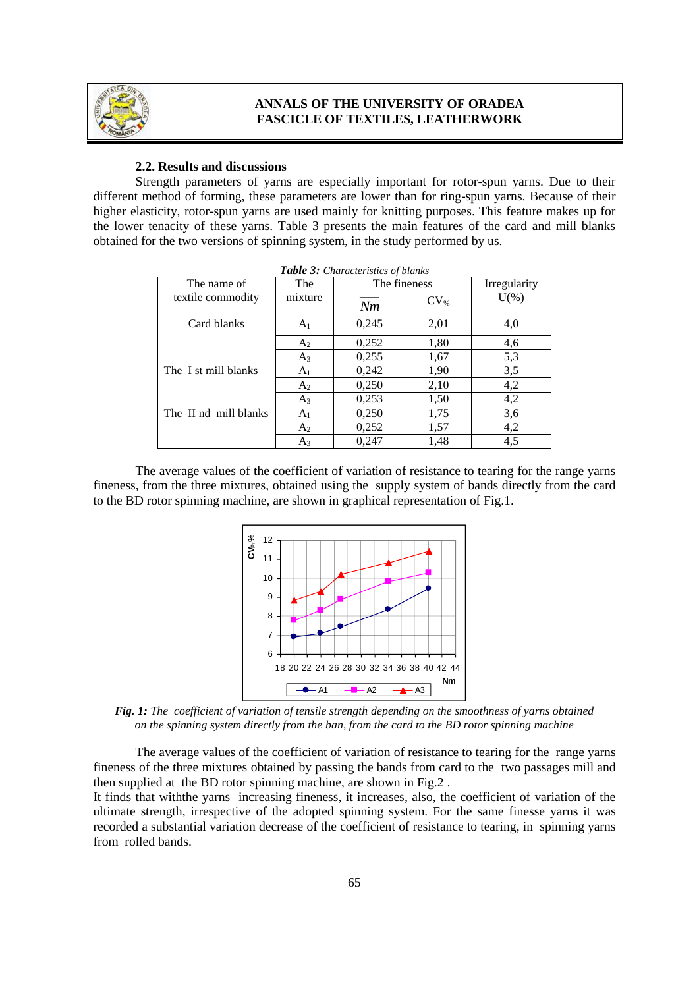

#### **2.2. Results and discussions**

Strength parameters of yarns are especially important for rotor-spun yarns. Due to their different method of forming, these parameters are lower than for ring-spun yarns. Because of their higher elasticity, rotor-spun yarns are used mainly for knitting purposes. This feature makes up for the lower tenacity of these yarns. Table 3 presents the main features of the card and mill blanks obtained for the two versions of spinning system, in the study performed by us.

| Table 3: Characteristics of blanks |                |              |           |              |  |  |
|------------------------------------|----------------|--------------|-----------|--------------|--|--|
| The name of                        | The            | The fineness |           | Irregularity |  |  |
| textile commodity                  | mixture        | Nm           | $CV_{\%}$ | $U(\%)$      |  |  |
| Card blanks                        | A <sub>1</sub> | 0,245        | 2,01      | 4,0          |  |  |
|                                    | A <sub>2</sub> | 0,252        | 1,80      | 4,6          |  |  |
|                                    | $A_3$          | 0,255        | 1,67      | 5,3          |  |  |
| The I st mill blanks               | A <sub>1</sub> | 0,242        | 1,90      | 3,5          |  |  |
|                                    | A <sub>2</sub> | 0,250        | 2,10      | 4,2          |  |  |
|                                    | $A_3$          | 0,253        | 1,50      | 4,2          |  |  |
| The II nd mill blanks              | A <sub>1</sub> | 0,250        | 1,75      | 3,6          |  |  |
|                                    | A <sub>2</sub> | 0,252        | 1,57      | 4,2          |  |  |
|                                    | $A_3$          | 0,247        | 1,48      | 4,5          |  |  |

| <b>Table 3:</b> Characteristics of blanks |  |  |  |
|-------------------------------------------|--|--|--|
|-------------------------------------------|--|--|--|

The average values of the coefficient of variation of resistance to tearing for the range yarns fineness, from the three mixtures, obtained using the supply system of bands directly from the card to the BD rotor spinning machine, are shown in graphical representation of Fig.1.



*Fig. 1: The coefficient of variation of tensile strength depending on the smoothness of yarns obtained on the spinning system directly from the ban, from the card to the BD rotor spinning machine*

The average values of the coefficient of variation of resistance to tearing for the range yarns fineness of the three mixtures obtained by passing the bands from card to the two passages mill and then supplied at the BD rotor spinning machine, are shown in Fig.2 .

It finds that withthe yarns increasing fineness, it increases, also, the coefficient of variation of the ultimate strength, irrespective of the adopted spinning system. For the same finesse yarns it was recorded a substantial variation decrease of the coefficient of resistance to tearing, in spinning yarns from rolled bands.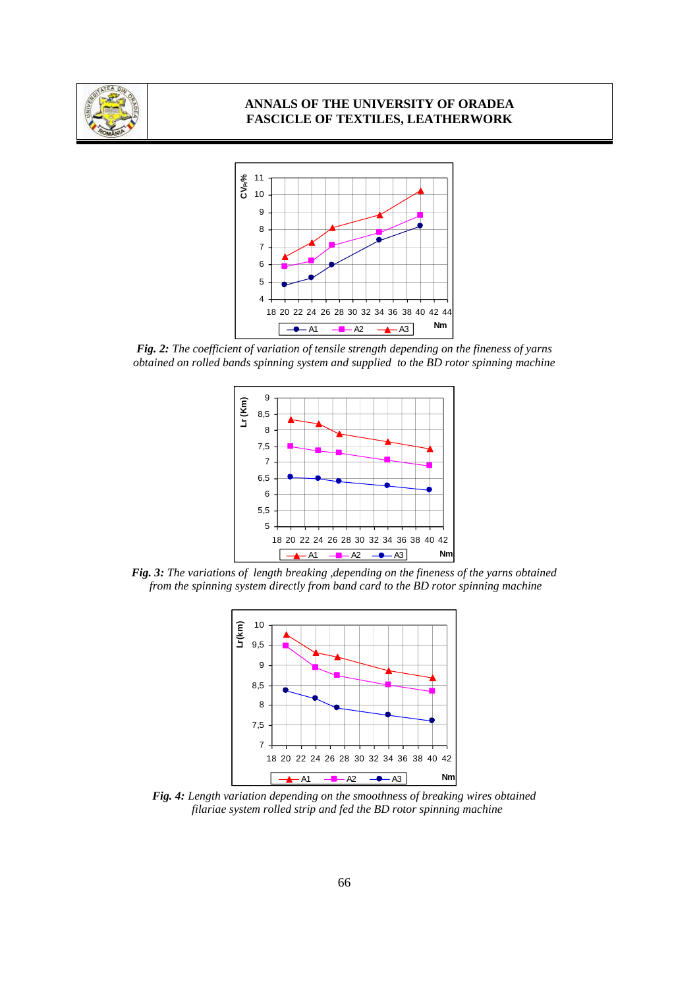



*Fig. 2: The coefficient of variation of tensile strength depending on the fineness of yarns obtained on rolled bands spinning system and supplied to the BD rotor spinning machine*



*Fig. 3: The variations of length breaking ,depending on the fineness of the yarns obtained from the spinning system directly from band card to the BD rotor spinning machine*



*Fig. 4: Length variation depending on the smoothness of breaking wires obtained filariae system rolled strip and fed the BD rotor spinning machine*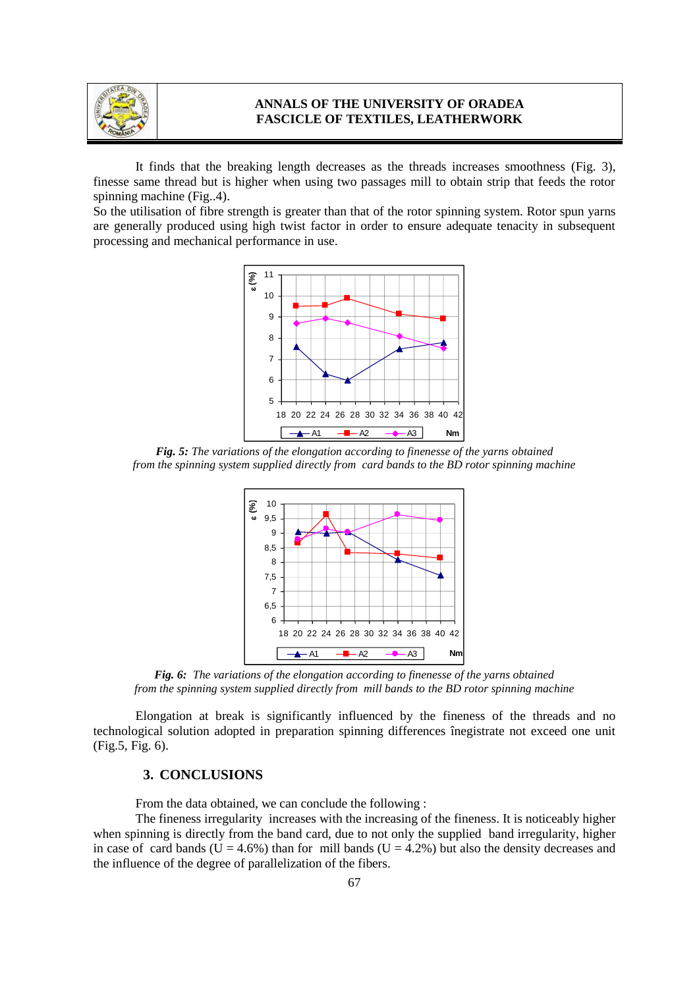

It finds that the breaking length decreases as the threads increases smoothness (Fig. 3), finesse same thread but is higher when using two passages mill to obtain strip that feeds the rotor spinning machine (Fig..4).

So the utilisation of fibre strength is greater than that of the rotor spinning system. Rotor spun yarns are generally produced using high twist factor in order to ensure adequate tenacity in subsequent processing and mechanical performance in use.



*Fig. 5: The variations of the elongation according to finenesse of the yarns obtained from the spinning system supplied directly from card bands to the BD rotor spinning machine*



*Fig. 6: The variations of the elongation according to finenesse of the yarns obtained from the spinning system supplied directly from mill bands to the BD rotor spinning machine*

Elongation at break is significantly influenced by the fineness of the threads and no technological solution adopted in preparation spinning differences înegistrate not exceed one unit (Fig.5, Fig. 6).

### **3. CONCLUSIONS**

From the data obtained, we can conclude the following :

The fineness irregularity increases with the increasing of the fineness. It is noticeably higher when spinning is directly from the band card, due to not only the supplied band irregularity, higher in case of card bands ( $U = 4.6\%$ ) than for mill bands ( $U = 4.2\%$ ) but also the density decreases and the influence of the degree of parallelization of the fibers.